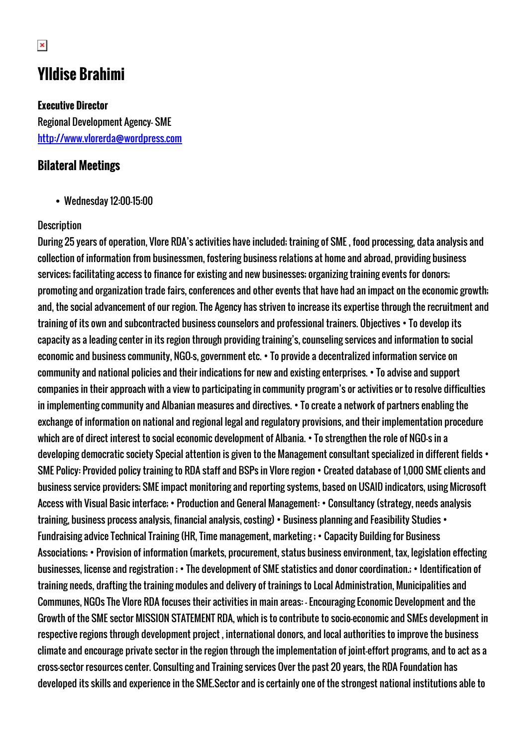## **Ylldise Brahimi**

## **Executive Director**

Regional Development Agency- SME <http://www.vlorerda@wordpress.com>

## **Bilateral Meetings**

Wednesday 12:00-15:00

## **Description**

During 25 years of operation, Vlore RDA's activities have included; training of SME , food processing, data analysis and collection of information from businessmen, fostering business relations at home and abroad, providing business services; facilitating access to finance for existing and new businesses; organizing training events for donors; promoting and organization trade fairs, conferences and other events that have had an impact on the economic growth; and, the social advancement of our region. The Agency has striven to increase its expertise through the recruitment and training of its own and subcontracted business counselors and professional trainers. Objectives • To develop its capacity as a leading center in its region through providing training's, counseling services and information to social economic and business community, NGO-s, government etc. • To provide a decentralized information service on community and national policies and their indications for new and existing enterprises. • To advise and support companies in their approach with a view to participating in community program's or activities or to resolve difficulties in implementing community and Albanian measures and directives. • To create a network of partners enabling the exchange of information on national and regional legal and regulatory provisions, and their implementation procedure which are of direct interest to social economic development of Albania. • To strengthen the role of NGO-s in a developing democratic society Special attention is given to the Management consultant specialized in different fields • SME Policy: Provided policy training to RDA staff and BSPs in Vlore region • Created database of 1,000 SME clients and business service providers; SME impact monitoring and reporting systems, based on USAID indicators, using Microsoft Access with Visual Basic interface; • Production and General Management: • Consultancy (strategy, needs analysis training, business process analysis, financial analysis, costing) • Business planning and Feasibility Studies • Fundraising advice Technical Training (HR, Time management, marketing ; • Capacity Building for Business Associations; • Provision of information (markets, procurement, status business environment, tax, legislation effecting businesses, license and registration ; • The development of SME statistics and donor coordination.; • Identification of training needs, drafting the training modules and delivery of trainings to Local Administration, Municipalities and Communes, NGOs The Vlore RDA focuses their activities in main areas: - Encouraging Economic Development and the Growth of the SME sector MISSION STATEMENT RDA, which is to contribute to socio-economic and SMEs development in respective regions through development project , international donors, and local authorities to improve the business climate and encourage private sector in the region through the implementation of joint-effort programs, and to act as a cross-sector resources center. Consulting and Training services Over the past 20 years, the RDA Foundation has developed its skills and experience in the SME.Sector and is certainly one of the strongest national institutions able to